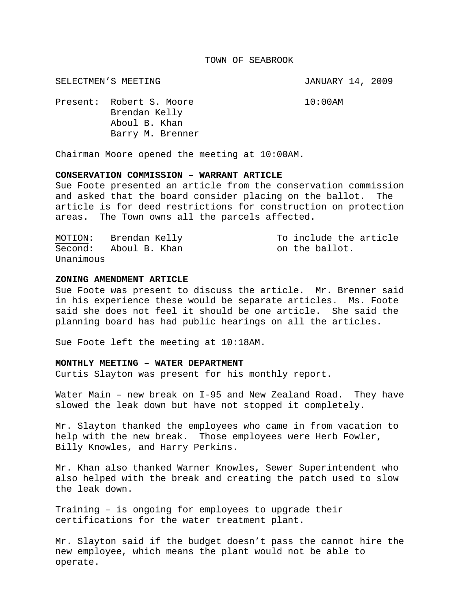#### TOWN OF SEABROOK

SELECTMEN'S MEETING **SELECTMEN'S** SELECTMEN'S MEETING

Present: Robert S. Moore 10:00AM Brendan Kelly Aboul B. Khan Barry M. Brenner

Chairman Moore opened the meeting at 10:00AM.

## **CONSERVATION COMMISSION – WARRANT ARTICLE**

Sue Foote presented an article from the conservation commission and asked that the board consider placing on the ballot. The article is for deed restrictions for construction on protection areas. The Town owns all the parcels affected.

| MOTION:   | Brendan Kelly | To include the article |
|-----------|---------------|------------------------|
| Second:   | Aboul B. Khan | on the ballot.         |
| Unanimous |               |                        |

### **ZONING AMENDMENT ARTICLE**

Sue Foote was present to discuss the article. Mr. Brenner said in his experience these would be separate articles. Ms. Foote said she does not feel it should be one article. She said the planning board has had public hearings on all the articles.

Sue Foote left the meeting at 10:18AM.

## **MONTHLY MEETING – WATER DEPARTMENT**

Curtis Slayton was present for his monthly report.

Water Main - new break on I-95 and New Zealand Road. They have slowed the leak down but have not stopped it completely.

Mr. Slayton thanked the employees who came in from vacation to help with the new break. Those employees were Herb Fowler, Billy Knowles, and Harry Perkins.

Mr. Khan also thanked Warner Knowles, Sewer Superintendent who also helped with the break and creating the patch used to slow the leak down.

Training – is ongoing for employees to upgrade their certifications for the water treatment plant.

Mr. Slayton said if the budget doesn't pass the cannot hire the new employee, which means the plant would not be able to operate.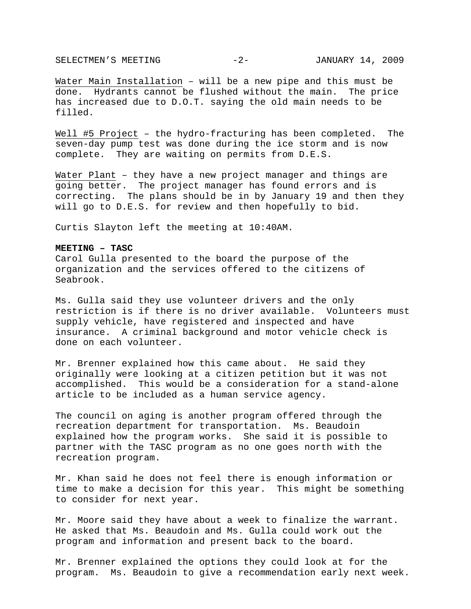SELECTMEN'S MEETING  $-2$ - JANUARY 14, 2009

Water Main Installation – will be a new pipe and this must be done. Hydrants cannot be flushed without the main. The price has increased due to D.O.T. saying the old main needs to be filled.

Well #5 Project – the hydro-fracturing has been completed. The seven-day pump test was done during the ice storm and is now complete. They are waiting on permits from D.E.S.

Water Plant - they have a new project manager and things are going better. The project manager has found errors and is correcting. The plans should be in by January 19 and then they will go to D.E.S. for review and then hopefully to bid.

Curtis Slayton left the meeting at 10:40AM.

### **MEETING – TASC**

Carol Gulla presented to the board the purpose of the organization and the services offered to the citizens of Seabrook.

Ms. Gulla said they use volunteer drivers and the only restriction is if there is no driver available. Volunteers must supply vehicle, have registered and inspected and have insurance. A criminal background and motor vehicle check is done on each volunteer.

Mr. Brenner explained how this came about. He said they originally were looking at a citizen petition but it was not accomplished. This would be a consideration for a stand-alone article to be included as a human service agency.

The council on aging is another program offered through the recreation department for transportation. Ms. Beaudoin explained how the program works. She said it is possible to partner with the TASC program as no one goes north with the recreation program.

Mr. Khan said he does not feel there is enough information or time to make a decision for this year. This might be something to consider for next year.

Mr. Moore said they have about a week to finalize the warrant. He asked that Ms. Beaudoin and Ms. Gulla could work out the program and information and present back to the board.

Mr. Brenner explained the options they could look at for the program. Ms. Beaudoin to give a recommendation early next week.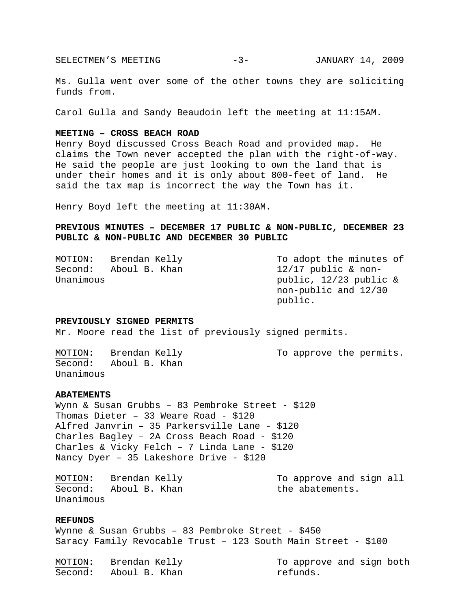SELECTMEN'S MEETING -3- JANUARY 14, 2009

Ms. Gulla went over some of the other towns they are soliciting funds from.

Carol Gulla and Sandy Beaudoin left the meeting at 11:15AM.

## **MEETING – CROSS BEACH ROAD**

Henry Boyd discussed Cross Beach Road and provided map. He claims the Town never accepted the plan with the right-of-way. He said the people are just looking to own the land that is under their homes and it is only about 800-feet of land. He said the tax map is incorrect the way the Town has it.

Henry Boyd left the meeting at 11:30AM.

# **PREVIOUS MINUTES – DECEMBER 17 PUBLIC & NON-PUBLIC, DECEMBER 23 PUBLIC & NON-PUBLIC AND DECEMBER 30 PUBLIC**

| MOTION:   | Brendan Kelly | To adopt the minutes of |
|-----------|---------------|-------------------------|
| Second:   | Aboul B. Khan | $12/17$ public & non-   |
| Unanimous |               | public, 12/23 public &  |
|           |               | non-public and 12/30    |
|           |               | public.                 |

## **PREVIOUSLY SIGNED PERMITS**

Mr. Moore read the list of previously signed permits.

MOTION: Brendan Kelly To approve the permits. Second: Aboul B. Khan Unanimous

### **ABATEMENTS**

Wynn & Susan Grubbs – 83 Pembroke Street - \$120 Thomas Dieter – 33 Weare Road - \$120 Alfred Janvrin – 35 Parkersville Lane - \$120 Charles Bagley – 2A Cross Beach Road - \$120 Charles & Vicky Felch – 7 Linda Lane - \$120 Nancy Dyer – 35 Lakeshore Drive - \$120

MOTION: Brendan Kelly The More and sign all more and sign all Second: Aboul B. Khan the abatements. Unanimous

## **REFUNDS**

Wynne & Susan Grubbs – 83 Pembroke Street - \$450 Saracy Family Revocable Trust – 123 South Main Street - \$100

| MOTION: | Brendan Kelly | To approve and sign both |
|---------|---------------|--------------------------|
| Second: | Aboul B. Khan | refunds.                 |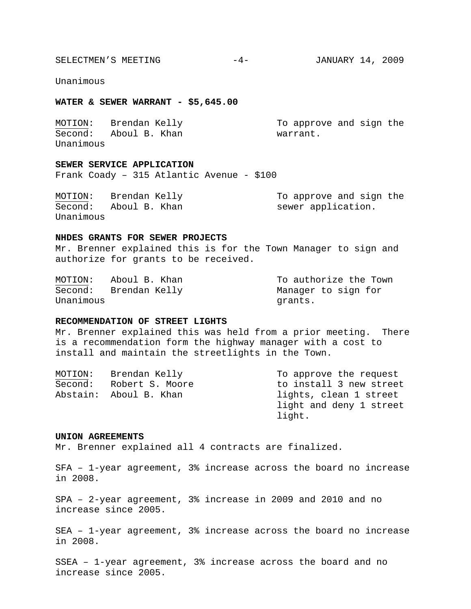SELECTMEN'S MEETING  $-4-$  JANUARY 14, 2009

Unanimous

## **WATER & SEWER WARRANT - \$5,645.00**

| MOTION:   | Brendan Kelly | To approve and sign the |
|-----------|---------------|-------------------------|
| Second:   | Aboul B. Khan | warrant.                |
| Unanimous |               |                         |

# **SEWER SERVICE APPLICATION**

Frank Coady – 315 Atlantic Avenue - \$100

| MOTION:   | Brendan Kelly | To approve and sign the |
|-----------|---------------|-------------------------|
| Second:   | Aboul B. Khan | sewer application.      |
| Unanimous |               |                         |

### **NHDES GRANTS FOR SEWER PROJECTS**

Mr. Brenner explained this is for the Town Manager to sign and authorize for grants to be received.

MOTION: Aboul B. Khan To authorize the Town Second: Brendan Kelly Manager to sign for Unanimous grants.

## **RECOMMENDATION OF STREET LIGHTS**

Mr. Brenner explained this was held from a prior meeting. There is a recommendation form the highway manager with a cost to install and maintain the streetlights in the Town.

| MOTION: | Brendan Kelly          | To approve the request  |
|---------|------------------------|-------------------------|
| Second: | Robert S. Moore        | to install 3 new street |
|         | Abstain: Aboul B. Khan | lights, clean 1 street  |
|         |                        | light and deny 1 street |
|         |                        | light.                  |

#### **UNION AGREEMENTS**

Mr. Brenner explained all 4 contracts are finalized.

SFA – 1-year agreement, 3% increase across the board no increase in 2008.

SPA – 2-year agreement, 3% increase in 2009 and 2010 and no increase since 2005.

SEA – 1-year agreement, 3% increase across the board no increase in 2008.

SSEA – 1-year agreement, 3% increase across the board and no increase since 2005.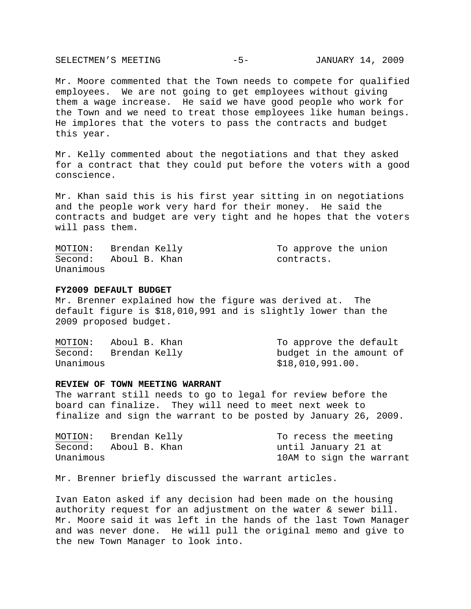SELECTMEN'S MEETING -5- JANUARY 14, 2009

Mr. Moore commented that the Town needs to compete for qualified employees. We are not going to get employees without giving them a wage increase. He said we have good people who work for the Town and we need to treat those employees like human beings. He implores that the voters to pass the contracts and budget this year.

Mr. Kelly commented about the negotiations and that they asked for a contract that they could put before the voters with a good conscience.

Mr. Khan said this is his first year sitting in on negotiations and the people work very hard for their money. He said the contracts and budget are very tight and he hopes that the voters will pass them.

MOTION: Brendan Kelly To approve the union Second: Aboul B. Khan contracts. Unanimous

## **FY2009 DEFAULT BUDGET**

Mr. Brenner explained how the figure was derived at. The default figure is \$18,010,991 and is slightly lower than the 2009 proposed budget.

MOTION: Aboul B. Khan To approve the default Second: Brendan Kelly budget in the amount of Unanimous \$18,010,991.00.

### **REVIEW OF TOWN MEETING WARRANT**

The warrant still needs to go to legal for review before the board can finalize. They will need to meet next week to finalize and sign the warrant to be posted by January 26, 2009.

| MOTION:   | Brendan Kelly | To recess the meeting    |
|-----------|---------------|--------------------------|
| Second:   | Aboul B. Khan | until January 21 at      |
| Unanimous |               | 10AM to sign the warrant |

Mr. Brenner briefly discussed the warrant articles.

Ivan Eaton asked if any decision had been made on the housing authority request for an adjustment on the water & sewer bill. Mr. Moore said it was left in the hands of the last Town Manager and was never done. He will pull the original memo and give to the new Town Manager to look into.